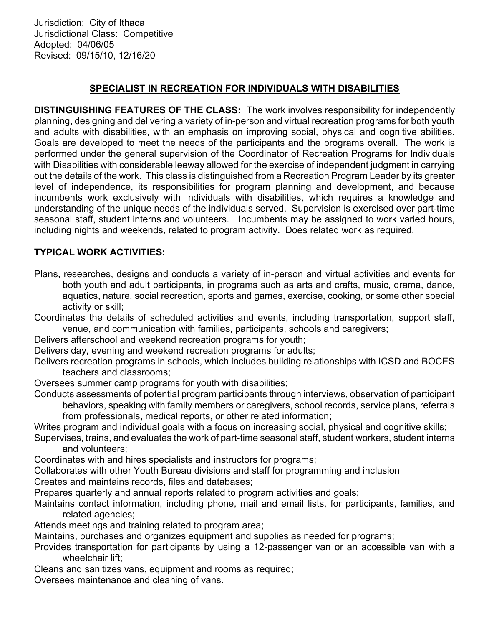Jurisdiction: City of Ithaca Jurisdictional Class: Competitive Adopted: 04/06/05 Revised: 09/15/10, 12/16/20

## SPECIALIST IN RECREATION FOR INDIVIDUALS WITH DISABILITIES

DISTINGUISHING FEATURES OF THE CLASS: The work involves responsibility for independently planning, designing and delivering a variety of in-person and virtual recreation programs for both youth and adults with disabilities, with an emphasis on improving social, physical and cognitive abilities. Goals are developed to meet the needs of the participants and the programs overall. The work is performed under the general supervision of the Coordinator of Recreation Programs for Individuals with Disabilities with considerable leeway allowed for the exercise of independent judgment in carrying out the details of the work. This class is distinguished from a Recreation Program Leader by its greater level of independence, its responsibilities for program planning and development, and because incumbents work exclusively with individuals with disabilities, which requires a knowledge and understanding of the unique needs of the individuals served. Supervision is exercised over part-time seasonal staff, student interns and volunteers. Incumbents may be assigned to work varied hours, including nights and weekends, related to program activity. Does related work as required.

## TYPICAL WORK ACTIVITIES:

- Plans, researches, designs and conducts a variety of in-person and virtual activities and events for both youth and adult participants, in programs such as arts and crafts, music, drama, dance, aquatics, nature, social recreation, sports and games, exercise, cooking, or some other special activity or skill;
- Coordinates the details of scheduled activities and events, including transportation, support staff, venue, and communication with families, participants, schools and caregivers;
- Delivers afterschool and weekend recreation programs for youth;
- Delivers day, evening and weekend recreation programs for adults;
- Delivers recreation programs in schools, which includes building relationships with ICSD and BOCES teachers and classrooms;
- Oversees summer camp programs for youth with disabilities;
- Conducts assessments of potential program participants through interviews, observation of participant behaviors, speaking with family members or caregivers, school records, service plans, referrals from professionals, medical reports, or other related information;
- Writes program and individual goals with a focus on increasing social, physical and cognitive skills;
- Supervises, trains, and evaluates the work of part-time seasonal staff, student workers, student interns and volunteers;
- Coordinates with and hires specialists and instructors for programs;
- Collaborates with other Youth Bureau divisions and staff for programming and inclusion
- Creates and maintains records, files and databases;
- Prepares quarterly and annual reports related to program activities and goals;
- Maintains contact information, including phone, mail and email lists, for participants, families, and related agencies;
- Attends meetings and training related to program area;
- Maintains, purchases and organizes equipment and supplies as needed for programs;
- Provides transportation for participants by using a 12-passenger van or an accessible van with a wheelchair lift;
- Cleans and sanitizes vans, equipment and rooms as required;
- Oversees maintenance and cleaning of vans.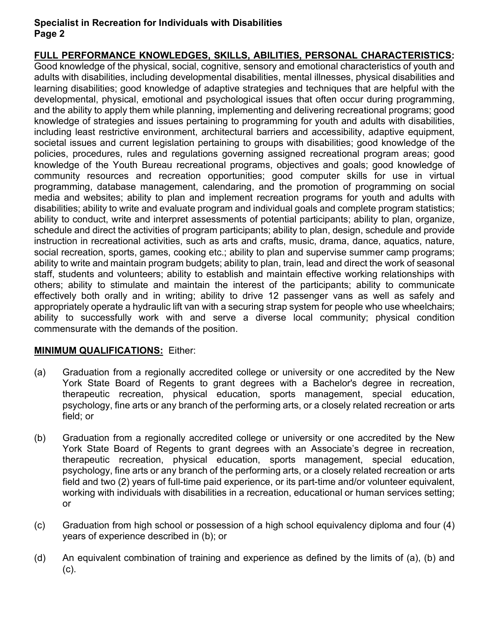#### Specialist in Recreation for Individuals with Disabilities Page 2

# FULL PERFORMANCE KNOWLEDGES, SKILLS, ABILITIES, PERSONAL CHARACTERISTICS:

Good knowledge of the physical, social, cognitive, sensory and emotional characteristics of youth and adults with disabilities, including developmental disabilities, mental illnesses, physical disabilities and learning disabilities; good knowledge of adaptive strategies and techniques that are helpful with the developmental, physical, emotional and psychological issues that often occur during programming, and the ability to apply them while planning, implementing and delivering recreational programs; good knowledge of strategies and issues pertaining to programming for youth and adults with disabilities, including least restrictive environment, architectural barriers and accessibility, adaptive equipment, societal issues and current legislation pertaining to groups with disabilities; good knowledge of the policies, procedures, rules and regulations governing assigned recreational program areas; good knowledge of the Youth Bureau recreational programs, objectives and goals; good knowledge of community resources and recreation opportunities; good computer skills for use in virtual programming, database management, calendaring, and the promotion of programming on social media and websites; ability to plan and implement recreation programs for youth and adults with disabilities; ability to write and evaluate program and individual goals and complete program statistics; ability to conduct, write and interpret assessments of potential participants; ability to plan, organize, schedule and direct the activities of program participants; ability to plan, design, schedule and provide instruction in recreational activities, such as arts and crafts, music, drama, dance, aquatics, nature, social recreation, sports, games, cooking etc.; ability to plan and supervise summer camp programs; ability to write and maintain program budgets; ability to plan, train, lead and direct the work of seasonal staff, students and volunteers; ability to establish and maintain effective working relationships with others; ability to stimulate and maintain the interest of the participants; ability to communicate effectively both orally and in writing; ability to drive 12 passenger vans as well as safely and appropriately operate a hydraulic lift van with a securing strap system for people who use wheelchairs; ability to successfully work with and serve a diverse local community; physical condition commensurate with the demands of the position.

## MINIMUM QUALIFICATIONS: Either:

- (a) Graduation from a regionally accredited college or university or one accredited by the New York State Board of Regents to grant degrees with a Bachelor's degree in recreation, therapeutic recreation, physical education, sports management, special education, psychology, fine arts or any branch of the performing arts, or a closely related recreation or arts field; or
- (b) Graduation from a regionally accredited college or university or one accredited by the New York State Board of Regents to grant degrees with an Associate's degree in recreation, therapeutic recreation, physical education, sports management, special education, psychology, fine arts or any branch of the performing arts, or a closely related recreation or arts field and two (2) years of full-time paid experience, or its part-time and/or volunteer equivalent, working with individuals with disabilities in a recreation, educational or human services setting; or
- (c) Graduation from high school or possession of a high school equivalency diploma and four (4) years of experience described in (b); or
- (d) An equivalent combination of training and experience as defined by the limits of (a), (b) and (c).